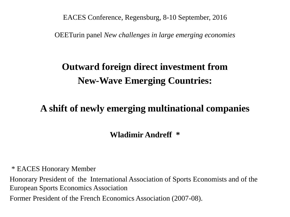EACES Conference, Regensburg, 8-10 September, 2016

OEETurin panel *New challenges in large emerging economies*

# **Outward foreign direct investment from New-Wave Emerging Countries:**

# **A shift of newly emerging multinational companies**

**Wladimir Andreff \***

\* EACES Honorary Member Honorary President of the International Association of Sports Economists and of the European Sports Economics Association Former President of the French Economics Association (2007-08).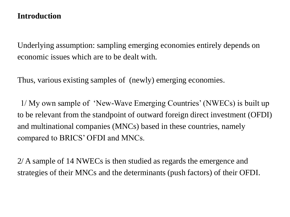### **Introduction**

Underlying assumption: sampling emerging economies entirely depends on economic issues which are to be dealt with.

Thus, various existing samples of (newly) emerging economies.

1/ My own sample of 'New-Wave Emerging Countries' (NWECs) is built up to be relevant from the standpoint of outward foreign direct investment (OFDI) and multinational companies (MNCs) based in these countries, namely compared to BRICS' OFDI and MNCs.

2/ A sample of 14 NWECs is then studied as regards the emergence and strategies of their MNCs and the determinants (push factors) of their OFDI.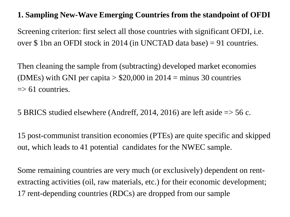### **1. Sampling New-Wave Emerging Countries from the standpoint of OFDI**

Screening criterion: first select all those countries with significant OFDI, i.e. over \$ 1bn an OFDI stock in 2014 (in UNCTAD data base) = 91 countries.

Then cleaning the sample from (subtracting) developed market economies (DMEs) with GNI per capita  $> $20,000$  in 2014 = minus 30 countries  $\Rightarrow$  61 countries.

5 BRICS studied elsewhere (Andreff, 2014, 2016) are left aside => 56 c.

15 post-communist transition economies (PTEs) are quite specific and skipped out, which leads to 41 potential candidates for the NWEC sample.

Some remaining countries are very much (or exclusively) dependent on rentextracting activities (oil, raw materials, etc.) for their economic development; 17 rent-depending countries (RDCs) are dropped from our sample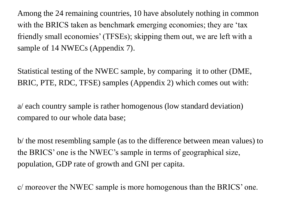Among the 24 remaining countries, 10 have absolutely nothing in common with the BRICS taken as benchmark emerging economies; they are 'tax friendly small economies' (TFSEs); skipping them out, we are left with a sample of 14 NWECs (Appendix 7).

Statistical testing of the NWEC sample, by comparing it to other (DME, BRIC, PTE, RDC, TFSE) samples (Appendix 2) which comes out with:

a/ each country sample is rather homogenous (low standard deviation) compared to our whole data base;

b/ the most resembling sample (as to the difference between mean values) to the BRICS' one is the NWEC's sample in terms of geographical size, population, GDP rate of growth and GNI per capita.

c/ moreover the NWEC sample is more homogenous than the BRICS' one.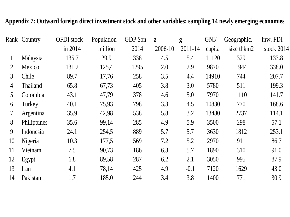#### **Appendix 7: Outward foreign direct investment stock and other variables: sampling 14 newly emerging economies**

|    | Rank Country | <b>OFDI</b> stock | Population | GDP \$bn | g       | g       | GNI/   | Geographic. | Inw. FDI   |
|----|--------------|-------------------|------------|----------|---------|---------|--------|-------------|------------|
|    |              | in 2014           | million    | 2014     | 2006-10 | 2011-14 | capita | size thkm2  | stock 2014 |
|    | Malaysia     | 135.7             | 29,9       | 338      | 4.5     | 5.4     | 11120  | 329         | 133.8      |
| 2  | Mexico       | 131.2             | 125,4      | 1295     | 2.0     | 2.9     | 9870   | 1944        | 338.0      |
| 3  | Chile        | 89.7              | 17,76      | 258      | 3.5     | 4.4     | 14910  | 744         | 207.7      |
| 4  | Thailand     | 65.8              | 67,73      | 405      | 3.8     | 3.0     | 5780   | 511         | 199.3      |
| 5  | Colombia     | 43.1              | 47,79      | 378      | 4.6     | 5.0     | 7970   | 1110        | 141.7      |
| 6  | Turkey       | 40.1              | 75,93      | 798      | 3.3     | 4.5     | 10830  | 770         | 168.6      |
|    | Argentina    | 35.9              | 42,98      | 538      | 5.8     | 3.2     | 13480  | 2737        | 114.1      |
| 8  | Philippines  | 35.6              | 99,14      | 285      | 4.9     | 5.9     | 3500   | 298         | 57.1       |
| 9  | Indonesia    | 24.1              | 254,5      | 889      | 5.7     | 5.7     | 3630   | 1812        | 253.1      |
| 10 | Nigeria      | 10.3              | 177,5      | 569      | 7.2     | 5.2     | 2970   | 911         | 86.7       |
| 11 | Vietnam      | 7.5               | 90,73      | 186      | 6.3     | 5.7     | 1890   | 310         | 91.0       |
| 12 | Egypt        | 6.8               | 89,58      | 287      | 6.2     | 2.1     | 3050   | 995         | 87.9       |
| 13 | Iran         | 4.1               | 78,14      | 425      | 4.9     | $-0.1$  | 7120   | 1629        | 43.0       |
| 14 | Pakistan     | 1.7               | 185.0      | 244      | 3.4     | 3.8     | 1400   | 771         | 30.9       |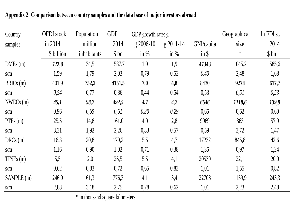| Country    | <b>OFDI</b> stock | Population  | <b>GDP</b> | GDP growth rate: g |               |            | Geographical | In FDI st. |
|------------|-------------------|-------------|------------|--------------------|---------------|------------|--------------|------------|
| samples    | in 2014           | million     | 2014       | $g$ 2006-10        | $g 2011 - 14$ | GNI/capita | size         | 2014       |
|            | \$ billion        | inhabitants | \$bn       | in $%$             | in $%$        | $in$ \$    | $\ast$       | \$bn       |
| DMEs (m)   | 722,8             | 34,5        | 1587,7     | 1,9                | 1,9           | 47348      | 1045,2       | 585,6      |
| s/m        | 1,59              | 1,79        | 2,03       | 0,79               | 0,53          | 0.40       | 2,48         | 1,68       |
| BRICs(m)   | 401,9             | 752,2       | 4151,5     | 7.0                | 4,8           | 8430       | 9274         | 617,7      |
| s/m        | 0,54              | 0,77        | 0,86       | 0,44               | 0,54          | 0,53       | 0,51         | 0,53       |
| NWECs(m)   | 45,1              | 98,7        | 492,5      | 4,7                | 4,2           | 6646       | 1118,6       | 139,9      |
| s/m        | 0,96              | 0,65        | 0,61       | 0.30               | 0,29          | 0,65       | 0,62         | 0.60       |
| PTEs(m)    | 25,5              | 14,8        | 161.0      | 4.0                | 2,8           | 9969       | 863          | 57,9       |
| s/m        | 3,31              | 1,92        | 2,26       | 0,83               | 0,57          | 0,59       | 3,72         | 1,47       |
| DRCs(m)    | 16,3              | 20,8        | 179,2      | 5,5                | 4,7           | 17232      | 845,8        | 42,6       |
| s/m        | 1,16              | 0.90        | 1.02       | 0,71               | 0,38          | 1,35       | 0,97         | 1,24       |
| TFSEs(m)   | 5,5               | 2.0         | 26,5       | 5,5                | 4,1           | 20539      | 22,1         | 20.0       |
| s/m        | 0,62              | 0,83        | 0,72       | 0,65               | 0,83          | 1,01       | 1,55         | 0,82       |
| SAMPLE (m) | 246.0             | 61,3        | 776,3      | 4,1                | 3,4           | 22703      | 1159,9       | 243,3      |
| s/m        | 2,88              | 3,18        | 2,75       | 0,78               | 0,62          | 1,01       | 2,23         | 2,48       |

**Appendix 2: Comparison between country samples and the data base of major investors abroad** 

\* in thousand square kilometers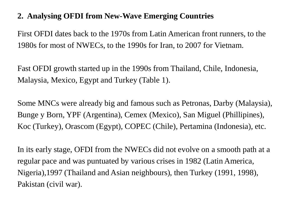# **2. Analysing OFDI from New-Wave Emerging Countries**

First OFDI dates back to the 1970s from Latin American front runners, to the 1980s for most of NWECs, to the 1990s for Iran, to 2007 for Vietnam.

Fast OFDI growth started up in the 1990s from Thailand, Chile, Indonesia, Malaysia, Mexico, Egypt and Turkey (Table 1).

Some MNCs were already big and famous such as Petronas, Darby (Malaysia), Bunge y Born, YPF (Argentina), Cemex (Mexico), San Miguel (Phillipines), Koc (Turkey), Orascom (Egypt), COPEC (Chile), Pertamina (Indonesia), etc.

In its early stage, OFDI from the NWECs did not evolve on a smooth path at a regular pace and was puntuated by various crises in 1982 (Latin America, Nigeria),1997 (Thailand and Asian neighbours), then Turkey (1991, 1998), Pakistan (civil war).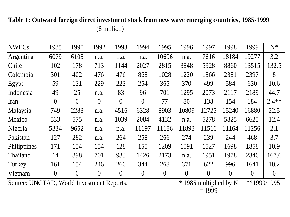**Table 1: Outward foreign direct investment stock from new wave emerging countries, 1985-1999** (\$ million)

| <b>NWECs</b> | 1985           | 1990           | 1992           | 1993           | 1994             | 1995           | 1996     | 1997           | 1998           | 1999           | $N^*$          |
|--------------|----------------|----------------|----------------|----------------|------------------|----------------|----------|----------------|----------------|----------------|----------------|
| Argentina    | 6079           | 6105           | n.a.           | n.a.           | n.a.             | 10696          | n.a.     | 7616           | 18184          | 19277          | 3.2            |
| Chile        | 102            | 178            | 713            | 1144           | 2027             | 2815           | 3848     | 5928           | 8860           | 13515          | 132.5          |
| Colombia     | 301            | 402            | 476            | 476            | 868              | 1028           | 1220     | 1866           | 2381           | 2397           | 8              |
| Egypt        | 59             | 131            | 229            | 223            | 254              | 365            | 370      | 499            | 584            | 630            | 10.6           |
| Indonesia    | 49             | 25             | n.a.           | 83             | 96               | 701            | 1295     | 2073           | 2117           | 2189           | 44.7           |
| Iran         | $\overline{0}$ | $\overline{0}$ | $\overline{0}$ | $\overline{0}$ | $\overline{0}$   | 77             | 80       | 138            | 154            | 184            | $2.4**$        |
| Malaysia     | 749            | 2283           | n.a.           | 4516           | 6328             | 8903           | 10809    | 12725          | 15240          | 16880          | 22.5           |
| Mexico       | 533            | 575            | n.a.           | 1039           | 2084             | 4132           | n.a.     | 5278           | 5825           | 6625           | 12.4           |
| Nigeria      | 5334           | 9652           | n.a.           | n.a.           | 11197            | 11186          | 11893    | 11516          | 11164          | 11256          | 2.1            |
| Pakistan     | 127            | 282            | n.a.           | 264            | 258              | 266            | 274      | 239            | 244            | 468            | 3.7            |
| Philippines  | 171            | 154            | 154            | 128            | 155              | 1209           | 1091     | 1527           | 1698           | 1858           | 10.9           |
| Thailand     | 14             | 398            | 701            | 933            | 1426             | 2173           | n.a.     | 1951           | 1978           | 2346           | 167.6          |
| Turkey       | 161            | 154            | 246            | 260            | 344              | 268            | 371      | 622            | 996            | 1641           | 10.2           |
| Vietnam      | $\overline{0}$ | $\overline{0}$ | $\overline{0}$ | $\overline{0}$ | $\boldsymbol{0}$ | $\overline{0}$ | $\theta$ | $\overline{0}$ | $\overline{0}$ | $\overline{0}$ | $\overline{0}$ |

Source: UNCTAD, World Investment Reports. \* 1985 multiplied by N

 $= 1999$ \*\*1999/1995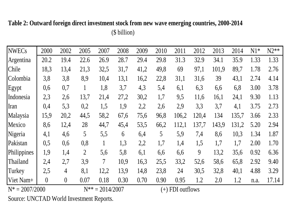#### **Table 2: Outward foreign direct investment stock from new wave emerging countries, 2000-2014** (\$ billion)

| <b>NWECs</b>      | 2000     | 2002           | 2005           | 2007                 | 2008 | 2009 | 2010 | 2011               | 2012  | 2013  | 2014  | $N1*$ | $N2**$ |
|-------------------|----------|----------------|----------------|----------------------|------|------|------|--------------------|-------|-------|-------|-------|--------|
| Argentina         | 20.2     | 19.4           | 22.6           | 26.9                 | 28.7 | 29.4 | 29.8 | 31.3               | 32.9  | 34.1  | 35.9  | 1.33  | 1.33   |
| Chile             | 18,3     | 13,4           | 21,3           | 32,5                 | 31,7 | 41,2 | 49,8 | 69                 | 97,1  | 101,9 | 89,7  | 1.78  | 2.76   |
| Colombia          | 3,8      | 3,8            | 8,9            | 10,4                 | 13,1 | 16,2 | 22,8 | 31,1               | 31,6  | 39    | 43,1  | 2.74  | 4.14   |
| Egypt             | 0,6      | 0,7            | $\bf{l}$       | 1,8                  | 3,7  | 4,3  | 5,4  | 6,1                | 6,3   | 6,6   | 6,8   | 3.00  | 3.78   |
| Indonesia         | 2,3      | 2,6            | 13,7           | 21,4                 | 27,2 | 30,2 | 1,7  | 9,5                | 11,6  | 16,1  | 24,1  | 9.30  | 1.13   |
| Iran              | 0,4      | 5,3            | 0,2            | 1,5                  | 1,9  | 2,2  | 2,6  | 2,9                | 3,3   | 3,7   | 4,1   | 3.75  | 2.73   |
| Malaysia          | 15,9     | 20,2           | 44,5           | 58,2                 | 67,6 | 75,6 | 96,8 | 106,2              | 120,4 | 134   | 135,7 | 3.66  | 2.33   |
| Mexico            | 8,6      | 12,4           | 28             | 44,7                 | 45,4 | 53,5 | 66,2 | 112,1              | 137,7 | 143,9 | 131,2 | 5.20  | 2.94   |
| Nigeria           | 4,1      | 4,6            | 5              | 5,5                  | 6    | 6,4  | 5    | 5,9                | 7,4   | 8,6   | 10,3  | 1.34  | 1.87   |
| Pakistan          | 0,5      | 0,6            | 0,8            | $\mathbf{1}$         | 1,3  | 2,2  | 1,7  | 1,4                | 1,5   | 1,7   | 1,7   | 2.00  | 1.70   |
| Philippines       | 1,9      | 1,4            | $\overline{2}$ | 5,6                  | 5,8  | 6,1  | 6,6  | 6,6                | 9     | 13,2  | 35,6  | 0.92  | 6.36   |
| Thailand          | 2,4      | 2,7            | 3,9            | $\overline{7}$       | 10,9 | 16,3 | 25,5 | 33,2               | 52,6  | 58,6  | 65,8  | 2.92  | 9.40   |
| Turkey            | 2,5      | $\overline{4}$ | 8,1            | 12,2                 | 13,9 | 14,8 | 23,8 | 24                 | 30,5  | 32,8  | 40,1  | 4.88  | 3.29   |
| Viet Nam+         | $\theta$ | $\theta$       | 0.07           | 0.18                 | 0.30 | 0.70 | 0.90 | 0.95               | 1.2   | 2.0   | 1.2   | n.a.  | 17.14  |
| $N^* = 2007/2000$ |          |                |                | $N^{**} = 2014/2007$ |      |      |      | $(+)$ FDI outflows |       |       |       |       |        |

Source: UNCTAD World Investment Reports.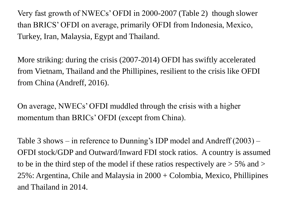Very fast growth of NWECs' OFDI in 2000-2007 (Table 2) though slower than BRICS' OFDI on average, primarily OFDI from Indonesia, Mexico, Turkey, Iran, Malaysia, Egypt and Thailand.

More striking: during the crisis (2007-2014) OFDI has swiftly accelerated from Vietnam, Thailand and the Phillipines, resilient to the crisis like OFDI from China (Andreff, 2016).

On average, NWECs' OFDI muddled through the crisis with a higher momentum than BRICs' OFDI (except from China).

Table 3 shows – in reference to Dunning's IDP model and Andreff (2003) – OFDI stock/GDP and Outward/Inward FDI stock ratios. A country is assumed to be in the third step of the model if these ratios respectively are  $> 5\%$  and  $>$ 25%: Argentina, Chile and Malaysia in 2000 + Colombia, Mexico, Phillipines and Thailand in 2014.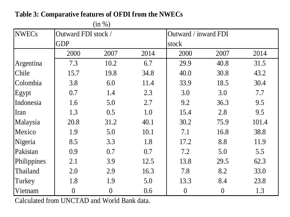|              | (in %)              |                |      |                      |                |       |  |  |  |  |  |  |
|--------------|---------------------|----------------|------|----------------------|----------------|-------|--|--|--|--|--|--|
| <b>NWECs</b> | Outward FDI stock / |                |      | Outward / inward FDI |                |       |  |  |  |  |  |  |
|              | <b>GDP</b>          |                |      | stock                |                |       |  |  |  |  |  |  |
|              | 2000                | 2007           | 2014 | 2000                 | 2007           | 2014  |  |  |  |  |  |  |
| Argentina    | 7.3                 | 10.2           | 6.7  | 29.9                 | 40.8           | 31.5  |  |  |  |  |  |  |
| Chile        | 15.7                | 19.8           | 34.8 | 40.0                 | 30.8           | 43.2  |  |  |  |  |  |  |
| Colombia     | 3.8                 | 6.0            | 11.4 | 33.9                 | 18.5           | 30.4  |  |  |  |  |  |  |
| Egypt        | 0.7                 | 1.4            | 2.3  | 3.0                  | 3.0            | 7.7   |  |  |  |  |  |  |
| Indonesia    | 1.6                 | 5.0            | 2.7  | 9.2                  | 36.3           | 9.5   |  |  |  |  |  |  |
| Iran         | 1.3                 | 0.5            | 1.0  | 15.4                 | 2.8            | 9.5   |  |  |  |  |  |  |
| Malaysia     | 20.8                | 31.2           | 40.1 | 30.2                 | 75.9           | 101.4 |  |  |  |  |  |  |
| Mexico       | 1.9                 | 5.0            | 10.1 | 7.1                  | 16.8           | 38.8  |  |  |  |  |  |  |
| Nigeria      | 8.5                 | 3.3            | 1.8  | 17.2                 | 8.8            | 11.9  |  |  |  |  |  |  |
| Pakistan     | 0.9                 | 0.7            | 0.7  | 7.2                  | 5.0            | 5.5   |  |  |  |  |  |  |
| Philippines  | 2.1                 | 3.9            | 12.5 | 13.8                 | 29.5           | 62.3  |  |  |  |  |  |  |
| Thailand     | 2.0                 | 2.9            | 16.3 | 7.8                  | 8.2            | 33.0  |  |  |  |  |  |  |
| Turkey       | 1.8                 | 1.9            | 5.0  | 13.3                 | 8.4            | 23.8  |  |  |  |  |  |  |
| Vietnam      | $\overline{0}$      | $\overline{0}$ | 0.6  | $\boldsymbol{0}$     | $\overline{0}$ | 1.3   |  |  |  |  |  |  |

**Table 3: Comparative features of OFDI from the NWECs**

Calculated from UNCTAD and World Bank data.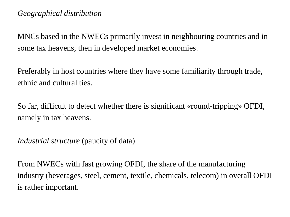MNCs based in the NWECs primarily invest in neighbouring countries and in some tax heavens, then in developed market economies.

Preferably in host countries where they have some familiarity through trade, ethnic and cultural ties.

So far, difficult to detect whether there is significant «round-tripping» OFDI, namely in tax heavens.

*Industrial structure* (paucity of data)

From NWECs with fast growing OFDI, the share of the manufacturing industry (beverages, steel, cement, textile, chemicals, telecom) in overall OFDI is rather important.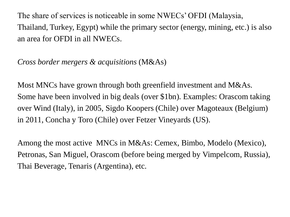The share of services is noticeable in some NWECs' OFDI (Malaysia, Thailand, Turkey, Egypt) while the primary sector (energy, mining, etc.) is also an area for OFDI in all NWECs.

*Cross border mergers & acquisitions* (M&As)

Most MNCs have grown through both greenfield investment and M&As. Some have been involved in big deals (over \$1bn). Examples: Orascom taking over Wind (Italy), in 2005, Sigdo Koopers (Chile) over Magoteaux (Belgium) in 2011, Concha y Toro (Chile) over Fetzer Vineyards (US).

Among the most active MNCs in M&As: Cemex, Bimbo, Modelo (Mexico), Petronas, San Miguel, Orascom (before being merged by Vimpelcom, Russia), Thai Beverage, Tenaris (Argentina), etc.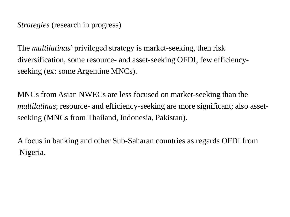*Strategies* (research in progress)

The *multilatinas*' privileged strategy is market-seeking, then risk diversification, some resource- and asset-seeking OFDI, few efficiencyseeking (ex: some Argentine MNCs).

MNCs from Asian NWECs are less focused on market-seeking than the *multilatinas*; resource- and efficiency-seeking are more significant; also assetseeking (MNCs from Thailand, Indonesia, Pakistan).

A focus in banking and other Sub-Saharan countries as regards OFDI from Nigeria.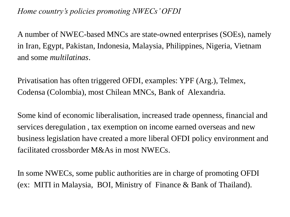*Home country's policies promoting NWECs' OFDI*

A number of NWEC-based MNCs are state-owned enterprises (SOEs), namely in Iran, Egypt, Pakistan, Indonesia, Malaysia, Philippines, Nigeria, Vietnam and some *multilatinas*.

Privatisation has often triggered OFDI, examples: YPF (Arg.), Telmex, Codensa (Colombia), most Chilean MNCs, Bank of Alexandria.

Some kind of economic liberalisation, increased trade openness, financial and services deregulation , tax exemption on income earned overseas and new business legislation have created a more liberal OFDI policy environment and facilitated crossborder M&As in most NWECs.

In some NWECs, some public authorities are in charge of promoting OFDI (ex: MITI in Malaysia, BOI, Ministry of Finance & Bank of Thailand).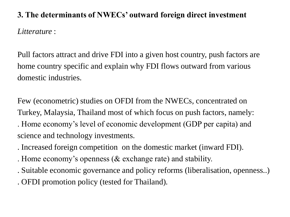# **3. The determinants of NWECs' outward foreign direct investment** *Litterature* :

Pull factors attract and drive FDI into a given host country, push factors are home country specific and explain why FDI flows outward from various domestic industries.

Few (econometric) studies on OFDI from the NWECs, concentrated on Turkey, Malaysia, Thailand most of which focus on push factors, namely: . Home economy's level of economic development (GDP per capita) and science and technology investments.

- . Increased foreign competition on the domestic market (inward FDI).
- . Home economy's openness (& exchange rate) and stability.
- . Suitable economic governance and policy reforms (liberalisation, openness..)
- . OFDI promotion policy (tested for Thailand).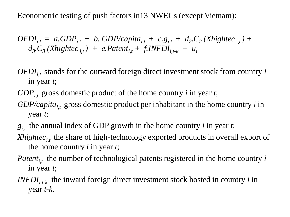Econometric testing of push factors in13 NWECs (except Vietnam):

 $OFDI_{i,t} = a.GDP_{i,t} + b.GDP/capita_{i,t} + c.g_{i,t} + d_2.C_2 (Xhightec_{i,t}) + b.GDP/capita_{i,t} + c.g_{i,t} + d_2.C_2 (Xhightec_{i,t}) + b.GDP/capita_{i,t} + c.g_{i,t} + d_2.C_2 (Xhightec_{i,t}) + b.GDP/capita_{i,t} + c.g_{i,t} + d_2.C_2 (Xhightec_{i,t}) + b.GDP/capita_{i,t} + c.g_{i,t} + d_2.C_2 (Xhightec_{i,t}) + b.GDP/capita_{i,t} + c.g_{i,t} + d_2.C_2 (Xhightec_{i,t}) + b.GDP/capita_{$  $d_3$ .  $C_3$  (Xhightec<sub>i,t</sub>) + e. Patent<sub>i,t</sub> + f. INFDI<sub>i,t-k</sub> + u<sub>i</sub>

- $OFDI_{i,t}$  stands for the outward foreign direct investment stock from country *i* in year *t*;
- *GDPi,t* gross domestic product of the home country *i* in year *t*;
- *GDP/capitai,t* gross domestic product per inhabitant in the home country *i* in year *t*;
- $g_{i,t}$  the annual index of GDP growth in the home country *i* in year *t*;
- *Xhightec<sub>i,t</sub>* the share of high-technology exported products in overall export of the home country *i* in year *t*;
- *Patent<sub>it</sub>* the number of technological patents registered in the home country  $i$ in year *t*;
- *INFDI*<sub>*i*,*t*-*k*</sub> the inward foreign direct investment stock hosted in country *i* in year *t-k*.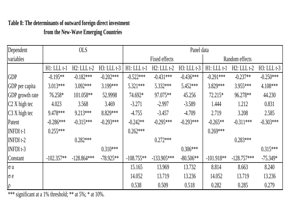# **Table 8: The determinants of outward foreign direct investment**

**from the New-Wave Emerging Countries**

| Dependent              |                  | <b>OLS</b>       |                  |                  | Panel data       |                  |                  |                  |                  |  |  |
|------------------------|------------------|------------------|------------------|------------------|------------------|------------------|------------------|------------------|------------------|--|--|
| variables              |                  |                  |                  |                  | Fixed effects    |                  |                  | Random effects   |                  |  |  |
|                        | $H1$ : LLL $t-1$ | $H2$ : LLL $t-2$ | $H3$ : LLL $t-3$ | $H1$ : LLL $t-1$ | $H2$ : LLL $t-2$ | $H3$ : LLL $t-3$ | $H1$ : LLL $t-1$ | $H2$ : LLL $t-2$ | $H3$ : LLL $t-3$ |  |  |
| <b>GDP</b>             | $-0.195**$       | $-0.182***$      | $-0.202***$      | $-0.522***$      | $-0.431***$      | $-0.436***$      | $-0.291***$      | $-0.237**$       | $-0.250***$      |  |  |
| GDP per capita         | $3.013***$       | $3.092***$       | 3.199***         | $5.321***$       | 5.332***         | 5.452***         | 3.829 ***        | 3.955***         | $4.108***$       |  |  |
| <b>GDP</b> growth rate | 76.258*          | 101.058**        | 52.9998          | 74.692*          | 97.075**         | 45.256           | 72.215*          | 96.278**         | 44.230           |  |  |
| $C2 X$ high tec        | 4.023            | 3.568            | 3.469            | $-3.271$         | $-2.997$         | $-3.589$         | 1.444            | 1.212            | 0.831            |  |  |
| $C3 X$ high tec        | 9.478***         | $9.213***$       | 8.829 ***        | $-4.755$         | $-3.457$         | $-4.709$         | 2.719            | 3.208            | 2.585            |  |  |
| Patent                 | $-0.286***$      | $-0.315***$      | $-0.293***$      | $-0.242**$       | $-0.295***$      | $-0.293***$      | $-0.265**$       | $-0.311***$      | $-0.303***$      |  |  |
| <b>INFDIt-1</b>        | $0.255***$       |                  |                  | $0.262***$       |                  |                  | $0.269***$       |                  |                  |  |  |
| <b>INFDIt-2</b>        |                  | $0.282***$       |                  |                  | $0.272***$       |                  |                  | $0.283***$       |                  |  |  |
| $INFDI t-3$            |                  |                  | $0.310***$       |                  |                  | $0.306***$       |                  |                  | $0.315***$       |  |  |
| Constant               | $-102.357**$     | $-128.864***$    | $-78.925**$      | $-108.755**$     | $-133.905***$    | $-80.506**$      | $-101.918**$     | $-128.757***$    | $-75.349*$       |  |  |
| $\sigma u$             |                  |                  |                  | 15.165           | 13.969           | 13.732           | 8.814            | 8.663            | 8.240            |  |  |
| $\sigma e$             |                  |                  |                  | 14.052           | 13.719           | 13.236           | 14.052           | 13.719           | 13.236           |  |  |
| $\rho$                 |                  |                  |                  | 0.538            | 0.509            | 0.518            | 0.282            | 0.285            | 0.279            |  |  |

\*\*\* significant at a 1% threshold; \*\* at 5%; \* at 10%.